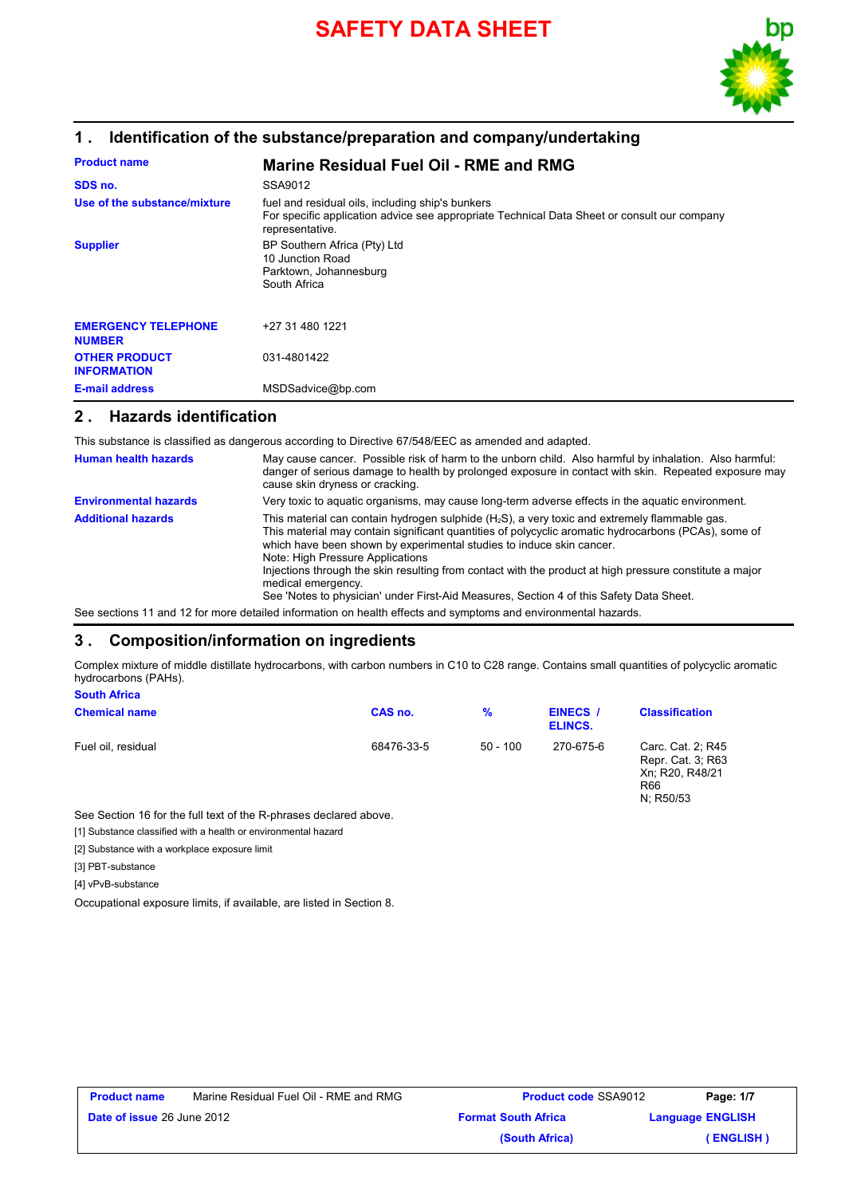

## **1 . Identification of the substance/preparation and company/undertaking**

| <b>Product name</b>                         | <b>Marine Residual Fuel Oil - RME and RMG</b>                                                                                                                      |
|---------------------------------------------|--------------------------------------------------------------------------------------------------------------------------------------------------------------------|
| SDS no.                                     | SSA9012                                                                                                                                                            |
| Use of the substance/mixture                | fuel and residual oils, including ship's bunkers<br>For specific application advice see appropriate Technical Data Sheet or consult our company<br>representative. |
| <b>Supplier</b>                             | BP Southern Africa (Pty) Ltd<br>10 Junction Road<br>Parktown, Johannesburg<br>South Africa                                                                         |
| <b>EMERGENCY TELEPHONE</b><br><b>NUMBER</b> | +27 31 480 1221                                                                                                                                                    |
| <b>OTHER PRODUCT</b><br><b>INFORMATION</b>  | 031-4801422                                                                                                                                                        |
| <b>E-mail address</b>                       | MSDSadvice@bp.com                                                                                                                                                  |

### **2 . Hazards identification**

This substance is classified as dangerous according to Directive 67/548/EEC as amended and adapted.

| <b>Human health hazards</b>  | May cause cancer. Possible risk of harm to the unborn child. Also harmful by inhalation. Also harmful:<br>danger of serious damage to health by prolonged exposure in contact with skin. Repeated exposure may<br>cause skin dryness or cracking.                                                                                                                                                                                                                                                                                                |
|------------------------------|--------------------------------------------------------------------------------------------------------------------------------------------------------------------------------------------------------------------------------------------------------------------------------------------------------------------------------------------------------------------------------------------------------------------------------------------------------------------------------------------------------------------------------------------------|
| <b>Environmental hazards</b> | Very toxic to aquatic organisms, may cause long-term adverse effects in the aquatic environment.                                                                                                                                                                                                                                                                                                                                                                                                                                                 |
| <b>Additional hazards</b>    | This material can contain hydrogen sulphide $(H_2S)$ , a very toxic and extremely flammable gas.<br>This material may contain significant quantities of polycyclic aromatic hydrocarbons (PCAs), some of<br>which have been shown by experimental studies to induce skin cancer.<br>Note: High Pressure Applications<br>Injections through the skin resulting from contact with the product at high pressure constitute a major<br>medical emergency.<br>See 'Notes to physician' under First-Aid Measures, Section 4 of this Safety Data Sheet. |

See sections 11 and 12 for more detailed information on health effects and symptoms and environmental hazards.

### **3 . Composition/information on ingredients**

Complex mixture of middle distillate hydrocarbons, with carbon numbers in C10 to C28 range. Contains small quantities of polycyclic aromatic hydrocarbons (PAHs). **South Africa**

| <b>Chemical name</b> | CAS no.    | $\frac{9}{6}$ | <b>EINECS /</b><br>ELINCS. | <b>Classification</b>                                                         |
|----------------------|------------|---------------|----------------------------|-------------------------------------------------------------------------------|
| Fuel oil, residual   | 68476-33-5 | $50 - 100$    | 270-675-6                  | Carc. Cat. 2; R45<br>Repr. Cat. 3; R63<br>Xn; R20, R48/21<br>R66<br>N; R50/53 |

See Section 16 for the full text of the R-phrases declared above.

[1] Substance classified with a health or environmental hazard

[2] Substance with a workplace exposure limit

[3] PBT-substance

[4] vPvB-substance

Occupational exposure limits, if available, are listed in Section 8.

| <b>Product name</b>               | Marine Residual Fuel Oil - RME and RMG | <b>Product code SSA9012</b> | Page: 1/7               |
|-----------------------------------|----------------------------------------|-----------------------------|-------------------------|
| <b>Date of issue 26 June 2012</b> |                                        | <b>Format South Africa</b>  | <b>Language ENGLISH</b> |
|                                   |                                        | (South Africa)              | (ENGLISH)               |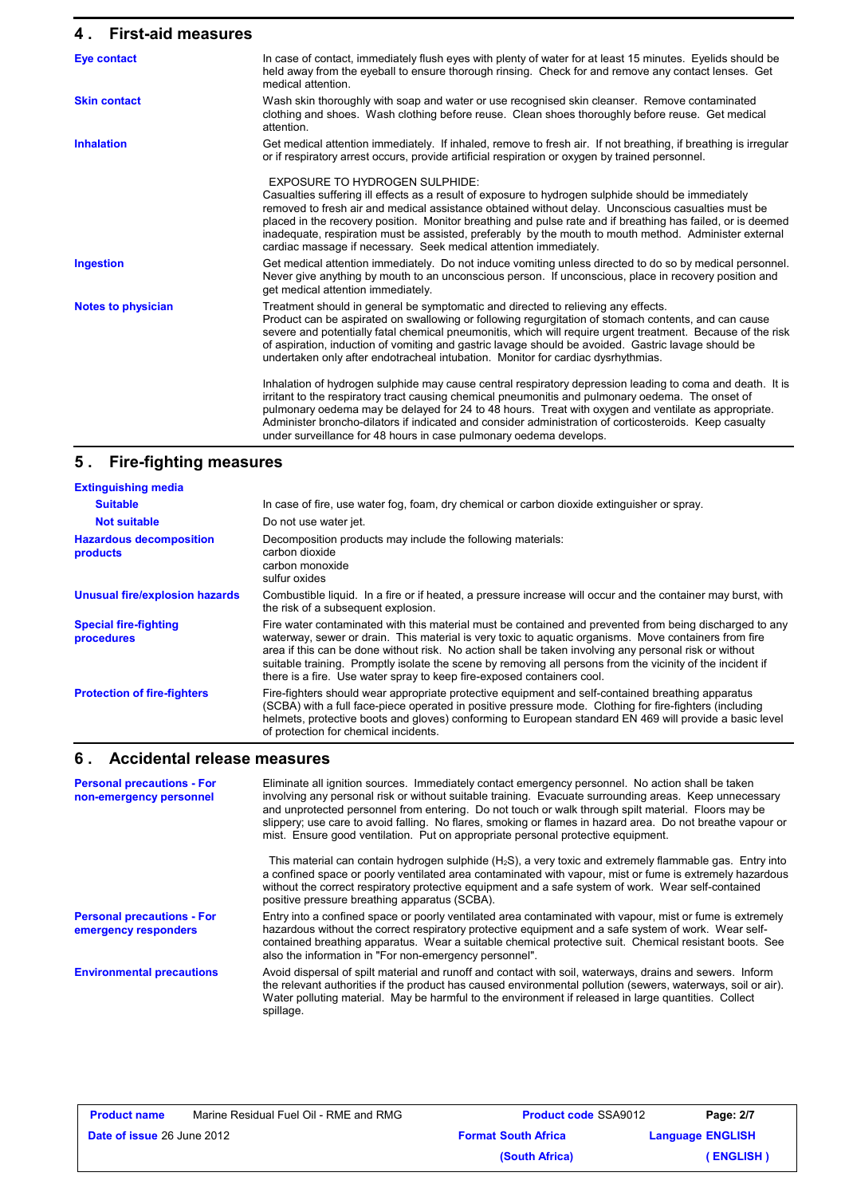### **4 . First-aid measures**

| <b>Eye contact</b>        | In case of contact, immediately flush eyes with plenty of water for at least 15 minutes. Eyelids should be<br>held away from the eyeball to ensure thorough rinsing. Check for and remove any contact lenses. Get<br>medical attention.                                                                                                                                                                                                                                                                                                          |
|---------------------------|--------------------------------------------------------------------------------------------------------------------------------------------------------------------------------------------------------------------------------------------------------------------------------------------------------------------------------------------------------------------------------------------------------------------------------------------------------------------------------------------------------------------------------------------------|
| <b>Skin contact</b>       | Wash skin thoroughly with soap and water or use recognised skin cleanser. Remove contaminated<br>clothing and shoes. Wash clothing before reuse. Clean shoes thoroughly before reuse. Get medical<br>attention.                                                                                                                                                                                                                                                                                                                                  |
| <b>Inhalation</b>         | Get medical attention immediately. If inhaled, remove to fresh air. If not breathing, if breathing is irregular<br>or if respiratory arrest occurs, provide artificial respiration or oxygen by trained personnel.                                                                                                                                                                                                                                                                                                                               |
|                           | <b>EXPOSURE TO HYDROGEN SULPHIDE:</b><br>Casualties suffering ill effects as a result of exposure to hydrogen sulphide should be immediately<br>removed to fresh air and medical assistance obtained without delay. Unconscious casualties must be<br>placed in the recovery position. Monitor breathing and pulse rate and if breathing has failed, or is deemed<br>inadequate, respiration must be assisted, preferably by the mouth to mouth method. Administer external<br>cardiac massage if necessary. Seek medical attention immediately. |
| <b>Ingestion</b>          | Get medical attention immediately. Do not induce vomiting unless directed to do so by medical personnel.<br>Never give anything by mouth to an unconscious person. If unconscious, place in recovery position and<br>get medical attention immediately.                                                                                                                                                                                                                                                                                          |
| <b>Notes to physician</b> | Treatment should in general be symptomatic and directed to relieving any effects.<br>Product can be aspirated on swallowing or following regurgitation of stomach contents, and can cause<br>severe and potentially fatal chemical pneumonitis, which will require urgent treatment. Because of the risk<br>of aspiration, induction of vomiting and gastric lavage should be avoided. Gastric lavage should be<br>undertaken only after endotracheal intubation. Monitor for cardiac dysrhythmias.                                              |
|                           | Inhalation of hydrogen sulphide may cause central respiratory depression leading to coma and death. It is<br>irritant to the respiratory tract causing chemical pneumonitis and pulmonary oedema. The onset of<br>pulmonary oedema may be delayed for 24 to 48 hours. Treat with oxygen and ventilate as appropriate.<br>Administer broncho-dilators if indicated and consider administration of corticosteroids. Keep casualty<br>under surveillance for 48 hours in case pulmonary oedema develops.                                            |

### **5 . Fire-fighting measures**

| <b>Extinguishing media</b>                 |                                                                                                                                                                                                                                                                                                                                                                                                                                                                                                                    |
|--------------------------------------------|--------------------------------------------------------------------------------------------------------------------------------------------------------------------------------------------------------------------------------------------------------------------------------------------------------------------------------------------------------------------------------------------------------------------------------------------------------------------------------------------------------------------|
| <b>Suitable</b>                            | In case of fire, use water fog, foam, dry chemical or carbon dioxide extinguisher or spray.                                                                                                                                                                                                                                                                                                                                                                                                                        |
| <b>Not suitable</b>                        | Do not use water jet.                                                                                                                                                                                                                                                                                                                                                                                                                                                                                              |
| <b>Hazardous decomposition</b><br>products | Decomposition products may include the following materials:<br>carbon dioxide<br>carbon monoxide<br>sulfur oxides                                                                                                                                                                                                                                                                                                                                                                                                  |
| <b>Unusual fire/explosion hazards</b>      | Combustible liquid. In a fire or if heated, a pressure increase will occur and the container may burst, with<br>the risk of a subsequent explosion.                                                                                                                                                                                                                                                                                                                                                                |
| <b>Special fire-fighting</b><br>procedures | Fire water contaminated with this material must be contained and prevented from being discharged to any<br>waterway, sewer or drain. This material is very toxic to aquatic organisms. Move containers from fire<br>area if this can be done without risk. No action shall be taken involving any personal risk or without<br>suitable training. Promptly isolate the scene by removing all persons from the vicinity of the incident if<br>there is a fire. Use water spray to keep fire-exposed containers cool. |
| <b>Protection of fire-fighters</b>         | Fire-fighters should wear appropriate protective equipment and self-contained breathing apparatus<br>(SCBA) with a full face-piece operated in positive pressure mode. Clothing for fire-fighters (including<br>helmets, protective boots and gloves) conforming to European standard EN 469 will provide a basic level<br>of protection for chemical incidents.                                                                                                                                                   |

### **6 . Accidental release measures**

**Environmental precautions Personal precautions - For non-emergency personnel** Eliminate all ignition sources. Immediately contact emergency personnel. No action shall be taken involving any personal risk or without suitable training. Evacuate surrounding areas. Keep unnecessary and unprotected personnel from entering. Do not touch or walk through spilt material. Floors may be slippery; use care to avoid falling. No flares, smoking or flames in hazard area. Do not breathe vapour or mist. Ensure good ventilation. Put on appropriate personal protective equipment. This material can contain hydrogen sulphide (H<sub>2</sub>S), a very toxic and extremely flammable gas. Entry into a confined space or poorly ventilated area contaminated with vapour, mist or fume is extremely hazardous without the correct respiratory protective equipment and a safe system of work. Wear self-contained positive pressure breathing apparatus (SCBA). Avoid dispersal of spilt material and runoff and contact with soil, waterways, drains and sewers. Inform the relevant authorities if the product has caused environmental pollution (sewers, waterways, soil or air). Water polluting material. May be harmful to the environment if released in large quantities. Collect spillage. Entry into a confined space or poorly ventilated area contaminated with vapour, mist or fume is extremely hazardous without the correct respiratory protective equipment and a safe system of work. Wear selfcontained breathing apparatus. Wear a suitable chemical protective suit. Chemical resistant boots. See also the information in "For non-emergency personnel". **Personal precautions - For emergency responders**

| <b>Product name</b>               | Marine Residual Fuel Oil - RME and RMG | <b>Product code SSA9012</b> |                         | Page: 2/7 |
|-----------------------------------|----------------------------------------|-----------------------------|-------------------------|-----------|
| <b>Date of issue 26 June 2012</b> |                                        | <b>Format South Africa</b>  | <b>Language ENGLISH</b> |           |
|                                   |                                        | (South Africa)              |                         | (ENGLISH) |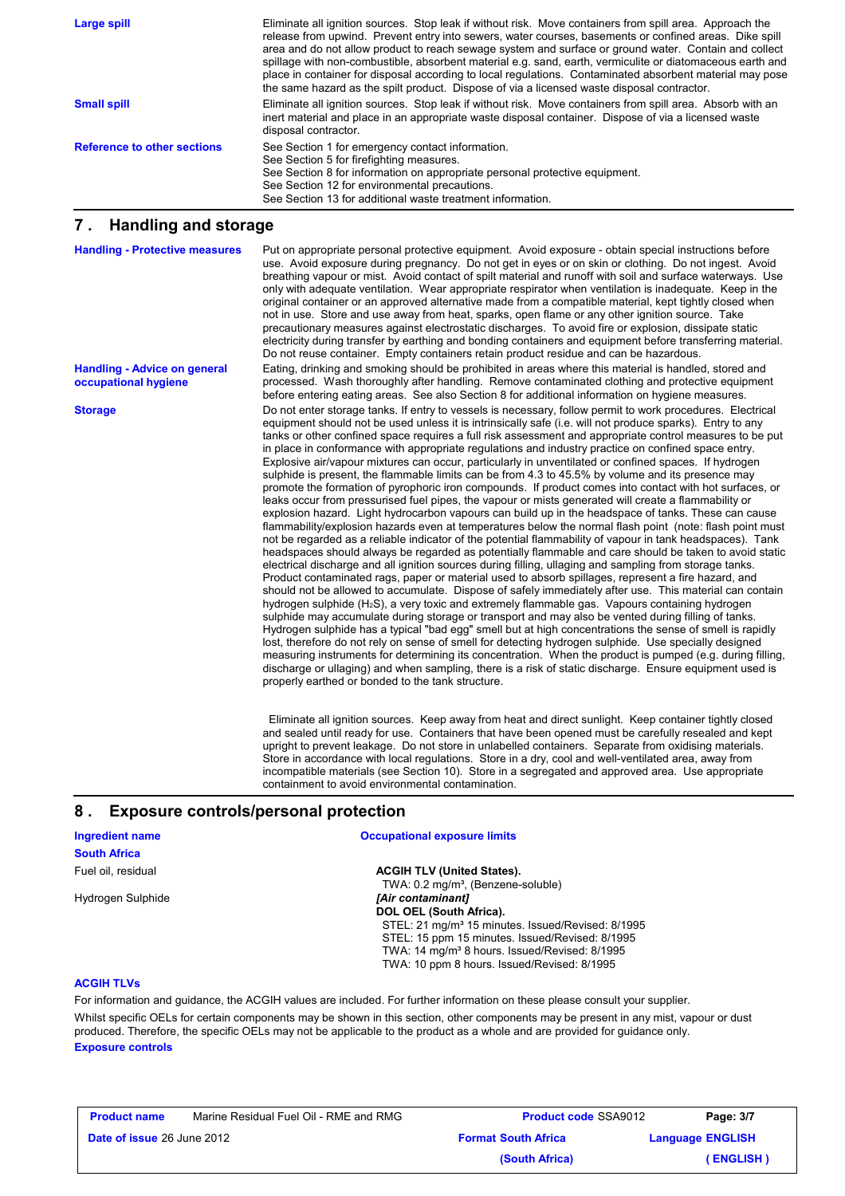| Large spill                        | Eliminate all ignition sources. Stop leak if without risk. Move containers from spill area. Approach the<br>release from upwind. Prevent entry into sewers, water courses, basements or confined areas. Dike spill<br>area and do not allow product to reach sewage system and surface or ground water. Contain and collect<br>spillage with non-combustible, absorbent material e.g. sand, earth, vermiculite or diatomaceous earth and<br>place in container for disposal according to local regulations. Contaminated absorbent material may pose<br>the same hazard as the spilt product. Dispose of via a licensed waste disposal contractor. |
|------------------------------------|----------------------------------------------------------------------------------------------------------------------------------------------------------------------------------------------------------------------------------------------------------------------------------------------------------------------------------------------------------------------------------------------------------------------------------------------------------------------------------------------------------------------------------------------------------------------------------------------------------------------------------------------------|
| <b>Small spill</b>                 | Eliminate all ignition sources. Stop leak if without risk. Move containers from spill area. Absorb with an<br>inert material and place in an appropriate waste disposal container. Dispose of via a licensed waste<br>disposal contractor.                                                                                                                                                                                                                                                                                                                                                                                                         |
| <b>Reference to other sections</b> | See Section 1 for emergency contact information.<br>See Section 5 for firefighting measures.<br>See Section 8 for information on appropriate personal protective equipment.<br>See Section 12 for environmental precautions.<br>See Section 13 for additional waste treatment information.                                                                                                                                                                                                                                                                                                                                                         |

### **7 . Handling and storage**

**Storage Do not enter storage tanks**. If entry to vessels is necessary, follow permit to work procedures. Electrical equipment should not be used unless it is intrinsically safe (i.e. will not produce sparks). Entry to any tanks or other confined space requires a full risk assessment and appropriate control measures to be put in place in conformance with appropriate regulations and industry practice on confined space entry. Explosive air/vapour mixtures can occur, particularly in unventilated or confined spaces. If hydrogen sulphide is present, the flammable limits can be from 4.3 to 45.5% by volume and its presence may promote the formation of pyrophoric iron compounds. If product comes into contact with hot surfaces, or leaks occur from pressurised fuel pipes, the vapour or mists generated will create a flammability or explosion hazard. Light hydrocarbon vapours can build up in the headspace of tanks. These can cause flammability/explosion hazards even at temperatures below the normal flash point (note: flash point must not be regarded as a reliable indicator of the potential flammability of vapour in tank headspaces). Tank headspaces should always be regarded as potentially flammable and care should be taken to avoid static electrical discharge and all ignition sources during filling, ullaging and sampling from storage tanks. Product contaminated rags, paper or material used to absorb spillages, represent a fire hazard, and should not be allowed to accumulate. Dispose of safely immediately after use. This material can contain hydrogen sulphide (H2S), a very toxic and extremely flammable gas. Vapours containing hydrogen sulphide may accumulate during storage or transport and may also be vented during filling of tanks. Hydrogen sulphide has a typical "bad egg" smell but at high concentrations the sense of smell is rapidly lost, therefore do not rely on sense of smell for detecting hydrogen sulphide. Use specially designed measuring instruments for determining its concentration. When the product is pumped (e.g. during filling, discharge or ullaging) and when sampling, there is a risk of static discharge. Ensure equipment used is properly earthed or bonded to the tank structure. Put on appropriate personal protective equipment. Avoid exposure - obtain special instructions before use. Avoid exposure during pregnancy. Do not get in eyes or on skin or clothing. Do not ingest. Avoid breathing vapour or mist. Avoid contact of spilt material and runoff with soil and surface waterways. Use only with adequate ventilation. Wear appropriate respirator when ventilation is inadequate. Keep in the original container or an approved alternative made from a compatible material, kept tightly closed when not in use. Store and use away from heat, sparks, open flame or any other ignition source. Take precautionary measures against electrostatic discharges. To avoid fire or explosion, dissipate static electricity during transfer by earthing and bonding containers and equipment before transferring material. Do not reuse container. Empty containers retain product residue and can be hazardous. **Handling - Protective measures Handling - Advice on general occupational hygiene** Eating, drinking and smoking should be prohibited in areas where this material is handled, stored and processed. Wash thoroughly after handling. Remove contaminated clothing and protective equipment before entering eating areas. See also Section 8 for additional information on hygiene measures.

 Eliminate all ignition sources. Keep away from heat and direct sunlight. Keep container tightly closed and sealed until ready for use. Containers that have been opened must be carefully resealed and kept upright to prevent leakage. Do not store in unlabelled containers. Separate from oxidising materials. Store in accordance with local regulations. Store in a dry, cool and well-ventilated area, away from incompatible materials (see Section 10). Store in a segregated and approved area. Use appropriate containment to avoid environmental contamination.

## **8 . Exposure controls/personal protection**

| <b>Ingredient name</b> | <b>Occupational exposure limits</b>                          |
|------------------------|--------------------------------------------------------------|
| <b>South Africa</b>    |                                                              |
| Fuel oil. residual     | <b>ACGIH TLV (United States).</b>                            |
|                        | TWA: $0.2 \text{ mg/m}^3$ , (Benzene-soluble)                |
| Hydrogen Sulphide      | [Air contaminant]                                            |
|                        | DOL OEL (South Africa).                                      |
|                        | STEL: 21 mg/m <sup>3</sup> 15 minutes. Issued/Revised: 8/199 |

STEL: 21 mg/m<sup>3</sup> 15 minutes. Issued/Revised: 8/1995 STEL: 15 ppm 15 minutes. Issued/Revised: 8/1995 TWA: 14 mg/m<sup>3</sup> 8 hours. Issued/Revised: 8/1995 TWA: 10 ppm 8 hours. Issued/Revised: 8/1995

#### **ACGIH TLVs**

For information and guidance, the ACGIH values are included. For further information on these please consult your supplier.

**Exposure controls** Whilst specific OELs for certain components may be shown in this section, other components may be present in any mist, vapour or dust produced. Therefore, the specific OELs may not be applicable to the product as a whole and are provided for guidance only.

| <b>Product name</b>               | Marine Residual Fuel Oil - RME and RMG | <b>Product code SSA9012</b> | Page: 3/7               |
|-----------------------------------|----------------------------------------|-----------------------------|-------------------------|
| <b>Date of issue 26 June 2012</b> |                                        | <b>Format South Africa</b>  | <b>Language ENGLISH</b> |
|                                   |                                        | (South Africa)              | (ENGLISH)               |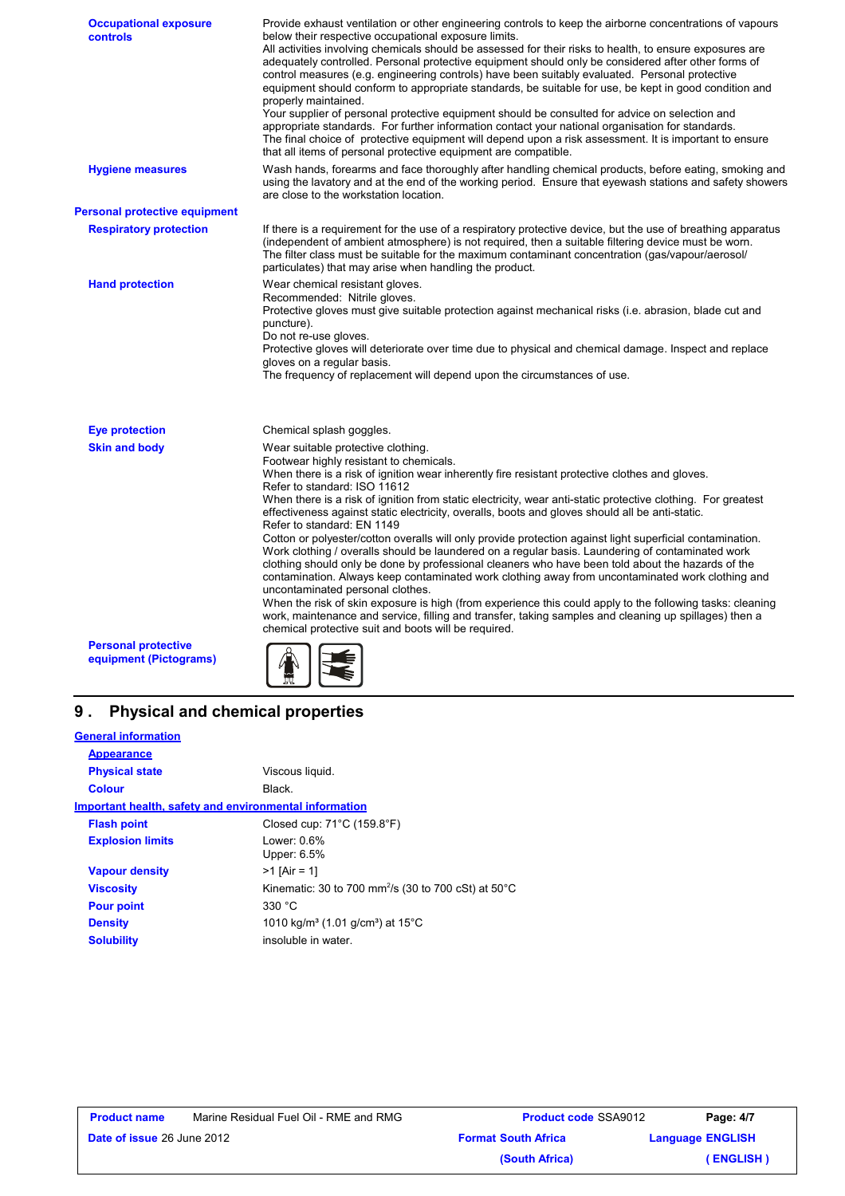| <b>Occupational exposure</b><br>controls             | Provide exhaust ventilation or other engineering controls to keep the airborne concentrations of vapours<br>below their respective occupational exposure limits.<br>All activities involving chemicals should be assessed for their risks to health, to ensure exposures are<br>adequately controlled. Personal protective equipment should only be considered after other forms of<br>control measures (e.g. engineering controls) have been suitably evaluated. Personal protective<br>equipment should conform to appropriate standards, be suitable for use, be kept in good condition and<br>properly maintained.<br>Your supplier of personal protective equipment should be consulted for advice on selection and<br>appropriate standards. For further information contact your national organisation for standards.<br>The final choice of protective equipment will depend upon a risk assessment. It is important to ensure<br>that all items of personal protective equipment are compatible.                                                                                                                                                                                                    |
|------------------------------------------------------|--------------------------------------------------------------------------------------------------------------------------------------------------------------------------------------------------------------------------------------------------------------------------------------------------------------------------------------------------------------------------------------------------------------------------------------------------------------------------------------------------------------------------------------------------------------------------------------------------------------------------------------------------------------------------------------------------------------------------------------------------------------------------------------------------------------------------------------------------------------------------------------------------------------------------------------------------------------------------------------------------------------------------------------------------------------------------------------------------------------------------------------------------------------------------------------------------------------|
| <b>Hygiene measures</b>                              | Wash hands, forearms and face thoroughly after handling chemical products, before eating, smoking and<br>using the lavatory and at the end of the working period. Ensure that eyewash stations and safety showers<br>are close to the workstation location.                                                                                                                                                                                                                                                                                                                                                                                                                                                                                                                                                                                                                                                                                                                                                                                                                                                                                                                                                  |
| <b>Personal protective equipment</b>                 |                                                                                                                                                                                                                                                                                                                                                                                                                                                                                                                                                                                                                                                                                                                                                                                                                                                                                                                                                                                                                                                                                                                                                                                                              |
| <b>Respiratory protection</b>                        | If there is a requirement for the use of a respiratory protective device, but the use of breathing apparatus<br>(independent of ambient atmosphere) is not required, then a suitable filtering device must be worn.<br>The filter class must be suitable for the maximum contaminant concentration (gas/vapour/aerosol/<br>particulates) that may arise when handling the product.                                                                                                                                                                                                                                                                                                                                                                                                                                                                                                                                                                                                                                                                                                                                                                                                                           |
| <b>Hand protection</b>                               | Wear chemical resistant gloves.<br>Recommended: Nitrile gloves.<br>Protective gloves must give suitable protection against mechanical risks (i.e. abrasion, blade cut and<br>puncture).<br>Do not re-use gloves.<br>Protective gloves will deteriorate over time due to physical and chemical damage. Inspect and replace<br>gloves on a regular basis.<br>The frequency of replacement will depend upon the circumstances of use.                                                                                                                                                                                                                                                                                                                                                                                                                                                                                                                                                                                                                                                                                                                                                                           |
| <b>Eye protection</b>                                | Chemical splash goggles.                                                                                                                                                                                                                                                                                                                                                                                                                                                                                                                                                                                                                                                                                                                                                                                                                                                                                                                                                                                                                                                                                                                                                                                     |
| <b>Skin and body</b>                                 | Wear suitable protective clothing.<br>Footwear highly resistant to chemicals.<br>When there is a risk of ignition wear inherently fire resistant protective clothes and gloves.<br>Refer to standard: ISO 11612<br>When there is a risk of ignition from static electricity, wear anti-static protective clothing. For greatest<br>effectiveness against static electricity, overalls, boots and gloves should all be anti-static.<br>Refer to standard: EN 1149<br>Cotton or polyester/cotton overalls will only provide protection against light superficial contamination.<br>Work clothing / overalls should be laundered on a regular basis. Laundering of contaminated work<br>clothing should only be done by professional cleaners who have been told about the hazards of the<br>contamination. Always keep contaminated work clothing away from uncontaminated work clothing and<br>uncontaminated personal clothes.<br>When the risk of skin exposure is high (from experience this could apply to the following tasks: cleaning<br>work, maintenance and service, filling and transfer, taking samples and cleaning up spillages) then a<br>chemical protective suit and boots will be required. |
| <b>Personal protective</b><br>equipment (Pictograms) |                                                                                                                                                                                                                                                                                                                                                                                                                                                                                                                                                                                                                                                                                                                                                                                                                                                                                                                                                                                                                                                                                                                                                                                                              |

# **9 . Physical and chemical properties**

| <b>General information</b> |                                                                            |
|----------------------------|----------------------------------------------------------------------------|
| <b>Appearance</b>          |                                                                            |
| <b>Physical state</b>      | Viscous liquid.                                                            |
| <b>Colour</b>              | Black.                                                                     |
|                            | Important health, safety and environmental information                     |
| <b>Flash point</b>         | Closed cup: $71^{\circ}$ C (159.8 $^{\circ}$ F)                            |
| <b>Explosion limits</b>    | Lower: $0.6\%$<br>Upper: $6.5%$                                            |
| <b>Vapour density</b>      | $>1$ [Air = 1]                                                             |
| <b>Viscosity</b>           | Kinematic: 30 to 700 mm <sup>2</sup> /s (30 to 700 cSt) at 50 $^{\circ}$ C |
| <b>Pour point</b>          | 330 °C                                                                     |
| <b>Density</b>             | 1010 kg/m <sup>3</sup> (1.01 g/cm <sup>3</sup> ) at 15 <sup>°</sup> C      |
| <b>Solubility</b>          | insoluble in water.                                                        |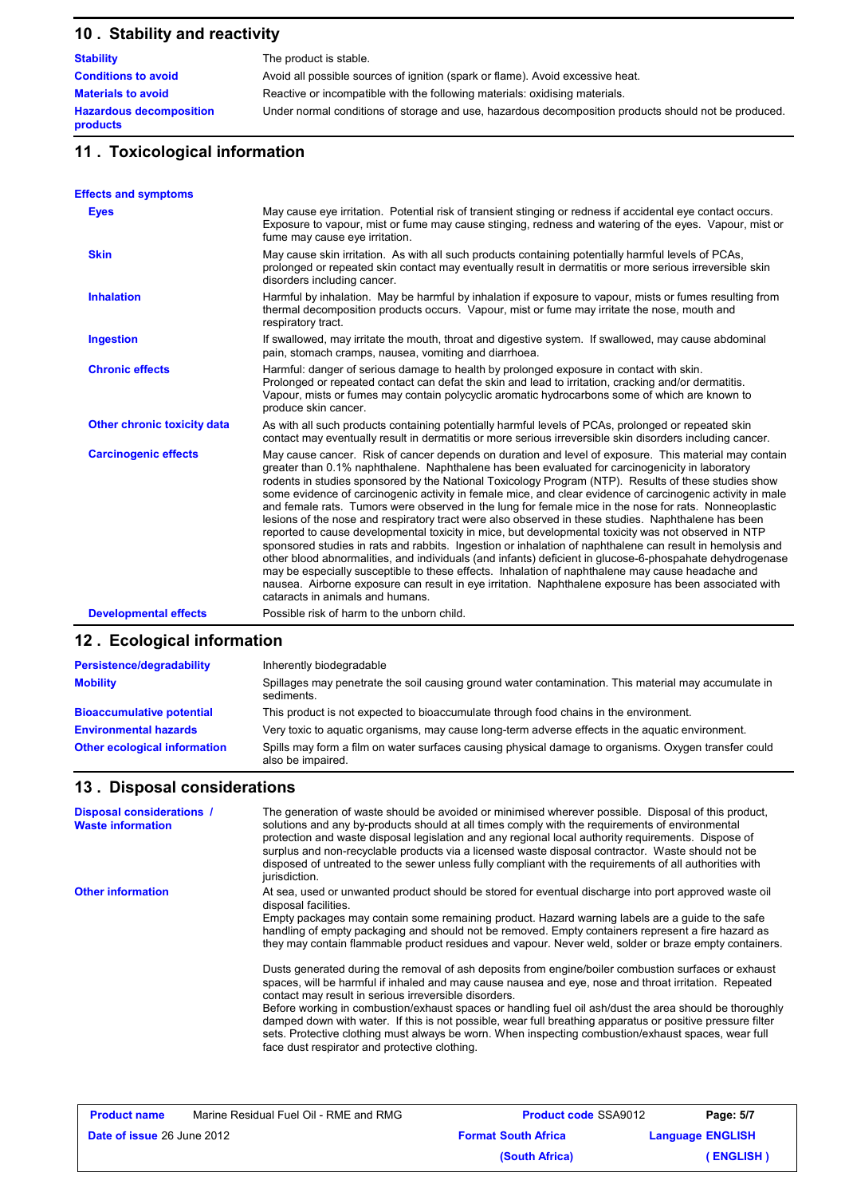# **10 . Stability and reactivity**

| <b>Stability</b>                           | The product is stable.                                                                               |
|--------------------------------------------|------------------------------------------------------------------------------------------------------|
| <b>Conditions to avoid</b>                 | Avoid all possible sources of ignition (spark or flame). Avoid excessive heat.                       |
| <b>Materials to avoid</b>                  | Reactive or incompatible with the following materials: oxidising materials.                          |
| <b>Hazardous decomposition</b><br>products | Under normal conditions of storage and use, hazardous decomposition products should not be produced. |

# **11 . Toxicological information**

| <b>Effects and symptoms</b>  |                                                                                                                                                                                                                                                                                                                                                                                                                                                                                                                                                                                                                                                                                                                                                                                                                                                                                                                                                                                                                                                                                                                                                                                                                                  |
|------------------------------|----------------------------------------------------------------------------------------------------------------------------------------------------------------------------------------------------------------------------------------------------------------------------------------------------------------------------------------------------------------------------------------------------------------------------------------------------------------------------------------------------------------------------------------------------------------------------------------------------------------------------------------------------------------------------------------------------------------------------------------------------------------------------------------------------------------------------------------------------------------------------------------------------------------------------------------------------------------------------------------------------------------------------------------------------------------------------------------------------------------------------------------------------------------------------------------------------------------------------------|
| <b>Eyes</b>                  | May cause eye irritation. Potential risk of transient stinging or redness if accidental eye contact occurs.<br>Exposure to vapour, mist or fume may cause stinging, redness and watering of the eyes. Vapour, mist or<br>fume may cause eye irritation.                                                                                                                                                                                                                                                                                                                                                                                                                                                                                                                                                                                                                                                                                                                                                                                                                                                                                                                                                                          |
| <b>Skin</b>                  | May cause skin irritation. As with all such products containing potentially harmful levels of PCAs,<br>prolonged or repeated skin contact may eventually result in dermatitis or more serious irreversible skin<br>disorders including cancer.                                                                                                                                                                                                                                                                                                                                                                                                                                                                                                                                                                                                                                                                                                                                                                                                                                                                                                                                                                                   |
| <b>Inhalation</b>            | Harmful by inhalation. May be harmful by inhalation if exposure to vapour, mists or fumes resulting from<br>thermal decomposition products occurs. Vapour, mist or fume may irritate the nose, mouth and<br>respiratory tract.                                                                                                                                                                                                                                                                                                                                                                                                                                                                                                                                                                                                                                                                                                                                                                                                                                                                                                                                                                                                   |
| <b>Ingestion</b>             | If swallowed, may irritate the mouth, throat and digestive system. If swallowed, may cause abdominal<br>pain, stomach cramps, nausea, vomiting and diarrhoea.                                                                                                                                                                                                                                                                                                                                                                                                                                                                                                                                                                                                                                                                                                                                                                                                                                                                                                                                                                                                                                                                    |
| <b>Chronic effects</b>       | Harmful: danger of serious damage to health by prolonged exposure in contact with skin.<br>Prolonged or repeated contact can defat the skin and lead to irritation, cracking and/or dermatitis.<br>Vapour, mists or fumes may contain polycyclic aromatic hydrocarbons some of which are known to<br>produce skin cancer.                                                                                                                                                                                                                                                                                                                                                                                                                                                                                                                                                                                                                                                                                                                                                                                                                                                                                                        |
| Other chronic toxicity data  | As with all such products containing potentially harmful levels of PCAs, prolonged or repeated skin<br>contact may eventually result in dermatitis or more serious irreversible skin disorders including cancer.                                                                                                                                                                                                                                                                                                                                                                                                                                                                                                                                                                                                                                                                                                                                                                                                                                                                                                                                                                                                                 |
| <b>Carcinogenic effects</b>  | May cause cancer. Risk of cancer depends on duration and level of exposure. This material may contain<br>greater than 0.1% naphthalene. Naphthalene has been evaluated for carcinogenicity in laboratory<br>rodents in studies sponsored by the National Toxicology Program (NTP). Results of these studies show<br>some evidence of carcinogenic activity in female mice, and clear evidence of carcinogenic activity in male<br>and female rats. Tumors were observed in the lung for female mice in the nose for rats. Nonneoplastic<br>lesions of the nose and respiratory tract were also observed in these studies. Naphthalene has been<br>reported to cause developmental toxicity in mice, but developmental toxicity was not observed in NTP<br>sponsored studies in rats and rabbits. Ingestion or inhalation of naphthalene can result in hemolysis and<br>other blood abnormalities, and individuals (and infants) deficient in glucose-6-phospahate dehydrogenase<br>may be especially susceptible to these effects. Inhalation of naphthalene may cause headache and<br>nausea. Airborne exposure can result in eye irritation. Naphthalene exposure has been associated with<br>cataracts in animals and humans. |
| <b>Developmental effects</b> | Possible risk of harm to the unborn child.                                                                                                                                                                                                                                                                                                                                                                                                                                                                                                                                                                                                                                                                                                                                                                                                                                                                                                                                                                                                                                                                                                                                                                                       |

# **12 . Ecological information**

| Persistence/degradability           | Inherently biodegradable                                                                                                  |
|-------------------------------------|---------------------------------------------------------------------------------------------------------------------------|
| <b>Mobility</b>                     | Spillages may penetrate the soil causing ground water contamination. This material may accumulate in<br>sediments.        |
| <b>Bioaccumulative potential</b>    | This product is not expected to bioaccumulate through food chains in the environment.                                     |
| <b>Environmental hazards</b>        | Very toxic to aquatic organisms, may cause long-term adverse effects in the aquatic environment.                          |
| <b>Other ecological information</b> | Spills may form a film on water surfaces causing physical damage to organisms. Oxygen transfer could<br>also be impaired. |

## **13 . Disposal considerations**

| <b>Disposal considerations /</b><br><b>Waste information</b> | The generation of waste should be avoided or minimised wherever possible. Disposal of this product,<br>solutions and any by-products should at all times comply with the requirements of environmental<br>protection and waste disposal legislation and any regional local authority requirements. Dispose of<br>surplus and non-recyclable products via a licensed waste disposal contractor. Waste should not be<br>disposed of untreated to the sewer unless fully compliant with the requirements of all authorities with<br>jurisdiction.                                                                                                                                                                                                                                                                                                                                                                                                                                                                                                                                                              |
|--------------------------------------------------------------|-------------------------------------------------------------------------------------------------------------------------------------------------------------------------------------------------------------------------------------------------------------------------------------------------------------------------------------------------------------------------------------------------------------------------------------------------------------------------------------------------------------------------------------------------------------------------------------------------------------------------------------------------------------------------------------------------------------------------------------------------------------------------------------------------------------------------------------------------------------------------------------------------------------------------------------------------------------------------------------------------------------------------------------------------------------------------------------------------------------|
| <b>Other information</b>                                     | At sea, used or unwanted product should be stored for eventual discharge into port approved waste oil<br>disposal facilities.<br>Empty packages may contain some remaining product. Hazard warning labels are a guide to the safe<br>handling of empty packaging and should not be removed. Empty containers represent a fire hazard as<br>they may contain flammable product residues and vapour. Never weld, solder or braze empty containers.<br>Dusts generated during the removal of ash deposits from engine/boiler combustion surfaces or exhaust<br>spaces, will be harmful if inhaled and may cause nausea and eye, nose and throat irritation. Repeated<br>contact may result in serious irreversible disorders.<br>Before working in combustion/exhaust spaces or handling fuel oil ash/dust the area should be thoroughly<br>damped down with water. If this is not possible, wear full breathing apparatus or positive pressure filter<br>sets. Protective clothing must always be worn. When inspecting combustion/exhaust spaces, wear full<br>face dust respirator and protective clothing. |

| <b>Product name</b>               | Marine Residual Fuel Oil - RME and RMG | <b>Product code SSA9012</b> | Page: 5/7               |
|-----------------------------------|----------------------------------------|-----------------------------|-------------------------|
| <b>Date of issue 26 June 2012</b> |                                        | <b>Format South Africa</b>  | <b>Language ENGLISH</b> |
|                                   |                                        | (South Africa)              | (ENGLISH)               |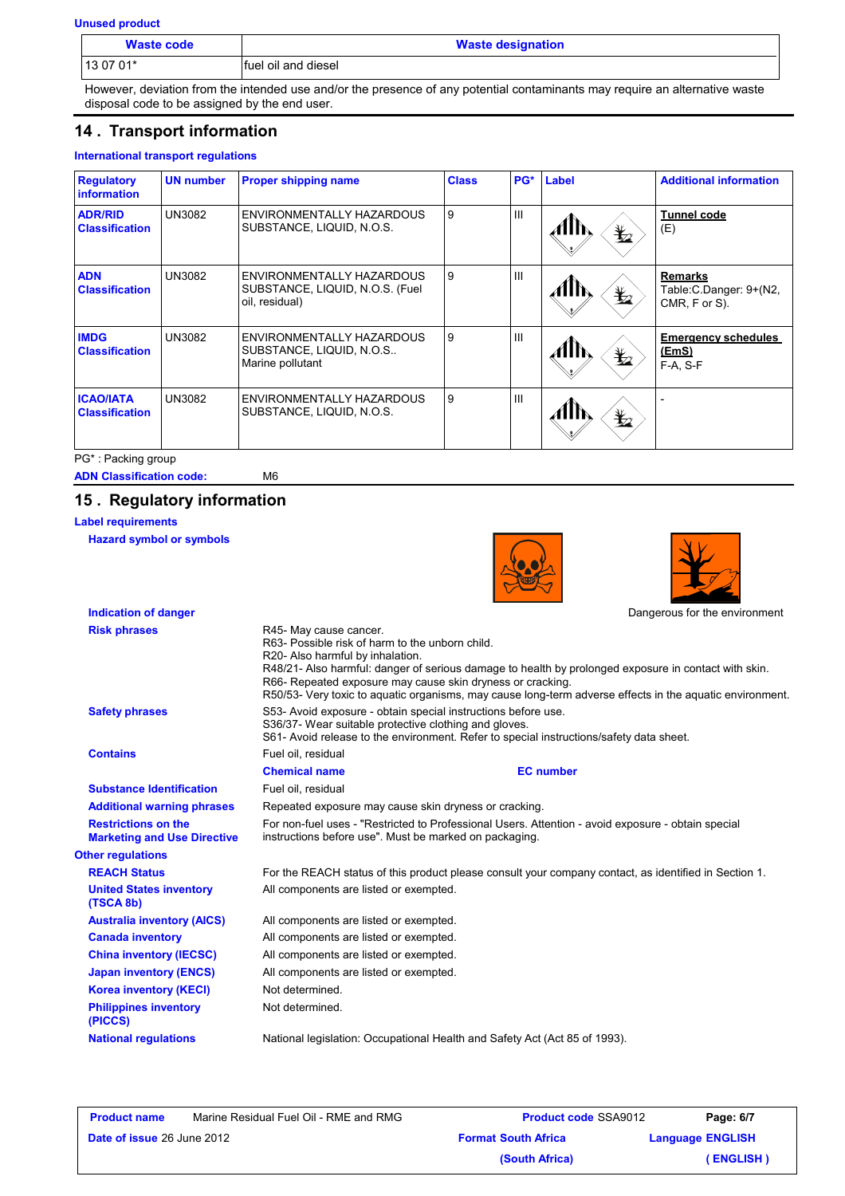**Unused product**

| <b>Waste code</b> | <b>Waste designation</b> |
|-------------------|--------------------------|
| 13 07 01*         | Ifuel oil and diesel     |

However, deviation from the intended use and/or the presence of any potential contaminants may require an alternative waste disposal code to be assigned by the end user.

## **14 . Transport information**

### **International transport regulations**

| <b>Regulatory</b><br><b>information</b>   | <b>UN number</b> | <b>Proper shipping name</b>                                                    | <b>Class</b> | PG*            | Label              | <b>Additional information</b>                               |
|-------------------------------------------|------------------|--------------------------------------------------------------------------------|--------------|----------------|--------------------|-------------------------------------------------------------|
| <b>ADR/RID</b><br><b>Classification</b>   | UN3082           | ENVIRONMENTALLY HAZARDOUS<br>SUBSTANCE, LIQUID, N.O.S.                         | 9            | $\mathbf{III}$ | $\bigstar$         | <b>Tunnel code</b><br>(E)                                   |
| <b>ADN</b><br><b>Classification</b>       | UN3082           | ENVIRONMENTALLY HAZARDOUS<br>SUBSTANCE, LIQUID, N.O.S. (Fuel<br>oil, residual) | 9            | $\mathbf{III}$ | $\bigstar$         | <b>Remarks</b><br>Table: C. Danger: 9+(N2,<br>CMR, F or S). |
| <b>IMDG</b><br><b>Classification</b>      | UN3082           | ENVIRONMENTALLY HAZARDOUS<br>SUBSTANCE, LIQUID, N.O.S<br>Marine pollutant      | 9            | $\mathbf{III}$ | $\bigstar$<br>AHIN | <b>Emergency schedules</b><br>(EmS)<br>$F-A, S-F$           |
| <b>ICAO/IATA</b><br><b>Classification</b> | UN3082           | ENVIRONMENTALLY HAZARDOUS<br>SUBSTANCE, LIQUID, N.O.S.                         | 9            | $\mathbf{III}$ | $\bigstar$         |                                                             |

PG\* : Packing group

**ADN Classification code:** M6

## **15 . Regulatory information**

**Label requirements**

**Hazard symbol or symbols**

| <b>HAZAIU SYIIIDUI UI SYIIIDUIS</b>                              |                                                                                                                                                                                                                                                                                     |                  |                                                                                                          |
|------------------------------------------------------------------|-------------------------------------------------------------------------------------------------------------------------------------------------------------------------------------------------------------------------------------------------------------------------------------|------------------|----------------------------------------------------------------------------------------------------------|
| <b>Indication of danger</b>                                      |                                                                                                                                                                                                                                                                                     |                  | Dangerous for the environment                                                                            |
| <b>Risk phrases</b>                                              | R45- May cause cancer.<br>R63- Possible risk of harm to the unborn child.<br>R20- Also harmful by inhalation.<br>R48/21- Also harmful: danger of serious damage to health by prolonged exposure in contact with skin.<br>R66- Repeated exposure may cause skin dryness or cracking. |                  | R50/53- Very toxic to aquatic organisms, may cause long-term adverse effects in the aquatic environment. |
| <b>Safety phrases</b>                                            | S53- Avoid exposure - obtain special instructions before use.<br>S36/37- Wear suitable protective clothing and gloves.<br>S61- Avoid release to the environment. Refer to special instructions/safety data sheet.                                                                   |                  |                                                                                                          |
| <b>Contains</b>                                                  | Fuel oil, residual                                                                                                                                                                                                                                                                  |                  |                                                                                                          |
|                                                                  | <b>Chemical name</b>                                                                                                                                                                                                                                                                | <b>EC</b> number |                                                                                                          |
| <b>Substance Identification</b>                                  | Fuel oil, residual                                                                                                                                                                                                                                                                  |                  |                                                                                                          |
| <b>Additional warning phrases</b>                                | Repeated exposure may cause skin dryness or cracking.                                                                                                                                                                                                                               |                  |                                                                                                          |
| <b>Restrictions on the</b><br><b>Marketing and Use Directive</b> | For non-fuel uses - "Restricted to Professional Users. Attention - avoid exposure - obtain special<br>instructions before use". Must be marked on packaging.                                                                                                                        |                  |                                                                                                          |
| <b>Other regulations</b>                                         |                                                                                                                                                                                                                                                                                     |                  |                                                                                                          |
| <b>REACH Status</b>                                              | For the REACH status of this product please consult your company contact, as identified in Section 1.                                                                                                                                                                               |                  |                                                                                                          |
| <b>United States inventory</b><br>(TSCA 8b)                      | All components are listed or exempted.                                                                                                                                                                                                                                              |                  |                                                                                                          |
| <b>Australia inventory (AICS)</b>                                | All components are listed or exempted.                                                                                                                                                                                                                                              |                  |                                                                                                          |
| <b>Canada inventory</b>                                          | All components are listed or exempted.                                                                                                                                                                                                                                              |                  |                                                                                                          |
| <b>China inventory (IECSC)</b>                                   | All components are listed or exempted.                                                                                                                                                                                                                                              |                  |                                                                                                          |
| <b>Japan inventory (ENCS)</b>                                    | All components are listed or exempted.                                                                                                                                                                                                                                              |                  |                                                                                                          |
| <b>Korea inventory (KECI)</b>                                    | Not determined.                                                                                                                                                                                                                                                                     |                  |                                                                                                          |
| <b>Philippines inventory</b><br>(PICCS)                          | Not determined.                                                                                                                                                                                                                                                                     |                  |                                                                                                          |
| <b>National regulations</b>                                      | National legislation: Occupational Health and Safety Act (Act 85 of 1993).                                                                                                                                                                                                          |                  |                                                                                                          |
|                                                                  |                                                                                                                                                                                                                                                                                     |                  |                                                                                                          |

| <b>Product name</b>               | Marine Residual Fuel Oil - RME and RMG | <b>Product code SSA9012</b> | Page: 6/7               |
|-----------------------------------|----------------------------------------|-----------------------------|-------------------------|
| <b>Date of issue 26 June 2012</b> |                                        | <b>Format South Africa</b>  | <b>Language ENGLISH</b> |
|                                   |                                        | (South Africa)              | (ENGLISH)               |